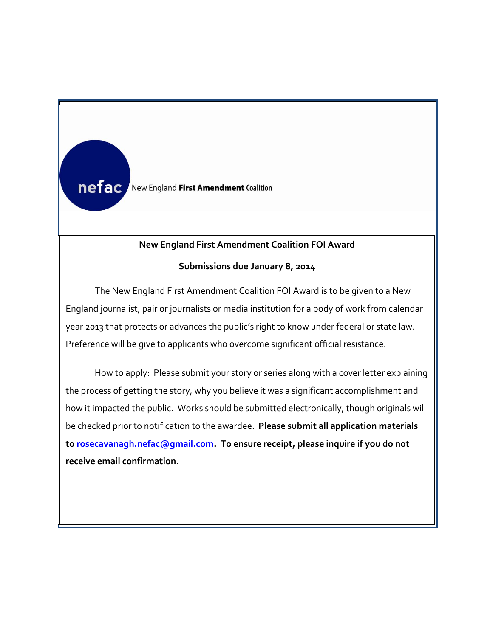

**N**

**n**

## **New England First Amendment Coalition FOI Award**

## **Submissions due January 8, 2014**

The New England First Amendment Coalition FOI Award is to be given to a New England journalist, pair or journalists or media institution for a body of work from calendar year 2013 that protects or advances the public's right to know under federal or state law. Preference will be give to applicants who overcome significant official resistance.

**m to [rosecavanagh.nefac@gmail.com.](mailto:rosecavanagh.nefac@gmail.com) To ensure receipt, please inquire if you do not e receive email confirmation.**How to apply: Please submit your story or series along with a cover letter explaining the process of getting the story, why you believe it was a significant accomplishment and how it impacted the public. Works should be submitted electronically, though originals will be checked prior to notification to the awardee. **Please submit all application materials**